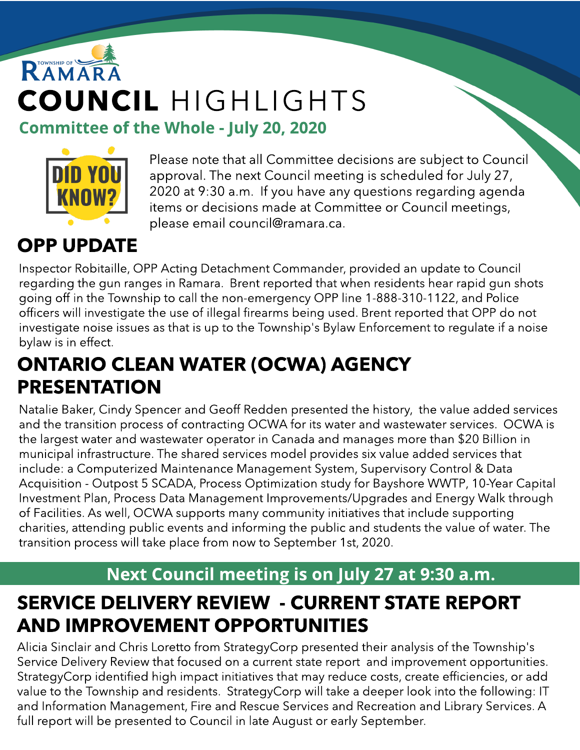# RAMARA COUNCIL HIGHLIGHTS Committee of the Whole - July 20, 2020



Please note that all Committee decisions are subject to Council approval. The next Council meeting is scheduled for July 27, 2020 at 9:30 a.m. If you have any questions regarding agenda items or decisions made at Committee or Council meetings, please email council@ramara.ca.

#### OPP UPDATE

Inspector Robitaille, OPP Acting Detachment Commander, provided an update to Council regarding the gun ranges in Ramara. Brent reported that when residents hear rapid gun shots going off in the Township to call the non-emergency OPP line 1-888-310-1122, and Police officers will investigate the use of illegal firearms being used. Brent reported that OPP do not investigate noise issues as that is up to the Township's Bylaw Enforcement to regulate if a noise bylaw is in effect.

#### ONTARIO CLEAN WATER (OCWA) AGENCY PRESENTATION

Natalie Baker, Cindy Spencer and Geoff Redden presented the history, the value added services and the transition process of contracting OCWA for its water and wastewater services. OCWA is the largest water and wastewater operator in Canada and manages more than \$20 Billion in municipal infrastructure. The shared services model provides six value added services that include: a Computerized Maintenance Management System, Supervisory Control & Data Acquisition - Outpost 5 SCADA, Process Optimization study for Bayshore WWTP, 10-Year Capital Investment Plan, Process Data Management Improvements/Upgrades and Energy Walk through of Facilities. As well, OCWA supports many community initiatives that include supporting charities, attending public events and informing the public and students the value of water. The transition process will take place from now to September 1st, 2020.

#### Next Council meeting is on July 27 at 9:30 a.m.

#### SERVICE DELIVERY REVIEW - CURRENT STATE REPORT AND IMPROVEMENT OPPORTUNITIES

Alicia Sinclair and Chris Loretto from StrategyCorp presented their analysis of the Township's Service Delivery Review that focused on a current state report and improvement opportunities. StrategyCorp identified high impact initiatives that may reduce costs, create efficiencies, or add value to the Township and residents. StrategyCorp will take a deeper look into the following: IT and Information Management, Fire and Rescue Services and Recreation and Library Services. A full report will be presented to Council in late August or early September.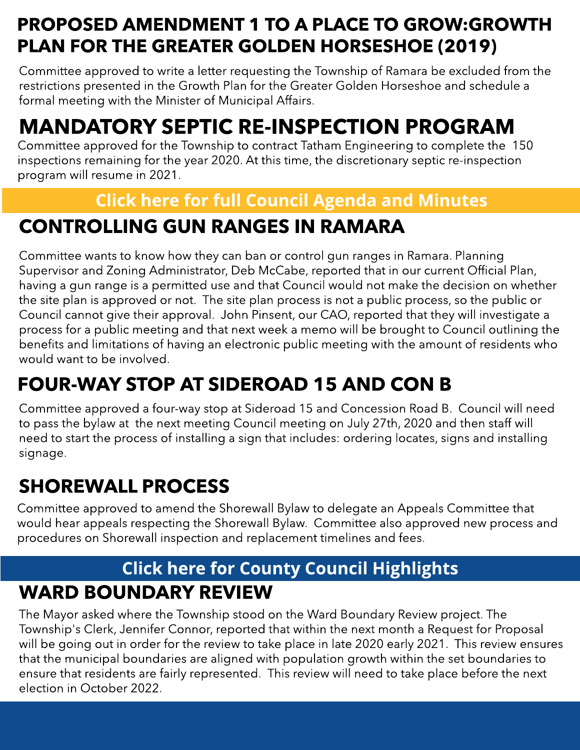#### PROPOSED AMENDMENT 1 TO A PLACE TO GROW:GROWTH PLAN FOR THE GREATER GOLDEN HORSESHOE (2019)

Committee approved to write a letter requesting the Township of Ramara be excluded from the restrictions presented in the Growth Plan for the Greater Golden Horseshoe and schedule a formal meeting with the Minister of Municipal Affairs.

### MANDATORY SEPTIC RE-INSPECTION PROGRAM

Committee approved for the Township to contract Tatham Engineering to complete the 150 inspections remaining for the year 2020. At this time, the discretionary septic re-inspection program will resume in 2021.

#### **[Click](https://ramara.civicweb.net/portal/) [here](https://ramara.civicweb.net/portal/) [for](https://ramara.civicweb.net/portal/) [full](https://ramara.civicweb.net/portal/) [Council](https://ramara.civicweb.net/portal/) [Agenda](https://ramara.civicweb.net/portal/) [and](https://ramara.civicweb.net/portal/) [Minut](https://ramara.civicweb.net/portal/)es**

#### CONTROLLING GUN RANGES IN RAMARA

Committee wants to know how they can ban or control gun ranges in Ramara. Planning Supervisor and Zoning Administrator, Deb McCabe, reported that in our current Official Plan, having a gun range is a permitted use and that Council would not make the decision on whether the site plan is approved or not. The site plan process is not a public process, so the public or Council cannot give their approval. John Pinsent, our CAO, reported that they will investigate a process for a public meeting and that next week a memo will be brought to Council outlining the benefits and limitations of having an electronic public meeting with the amount of residents who would want to be involved.

### FOUR-WAY STOP AT SIDEROAD 15 AND CON B

Committee approved a four-way stop at Sideroad 15 and Concession Road B. Council will need to pass the bylaw at the next meeting Council meeting on July 27th, 2020 and then staff will need to start the process of installing a sign that includes: ordering locates, signs and installing signage.

#### SHOREWALL PROCESS

Committee approved to amend the Shorewall Bylaw to delegate an Appeals Committee that would hear appeals respecting the Shorewall Bylaw. Committee also approved new process and procedures on Shorewall inspection and replacement timelines and fees.

#### WARD BOUNDARY REVIEW **[Click](https://ramara.civicweb.net/portal/) [here](https://ramara.civicweb.net/portal/) [for](https://ramara.civicweb.net/portal/) [Count](https://www.simcoe.ca/dpt/ccd/newsletters)y [Council](https://www.simcoe.ca/dpt/ccd/newsletters) [Highlight](https://www.simcoe.ca/dpt/ccd/newsletters)s**

The Mayor asked where the Township stood on the Ward Boundary Review project. The Township's Clerk, Jennifer Connor, reported that within the next month a Request for Proposal will be going out in order for the review to take place in late 2020 early 2021. This review ensures that the municipal boundaries are aligned with population growth within the set boundaries to ensure that residents are fairly represented. This review will need to take place before the next election in October 2022.